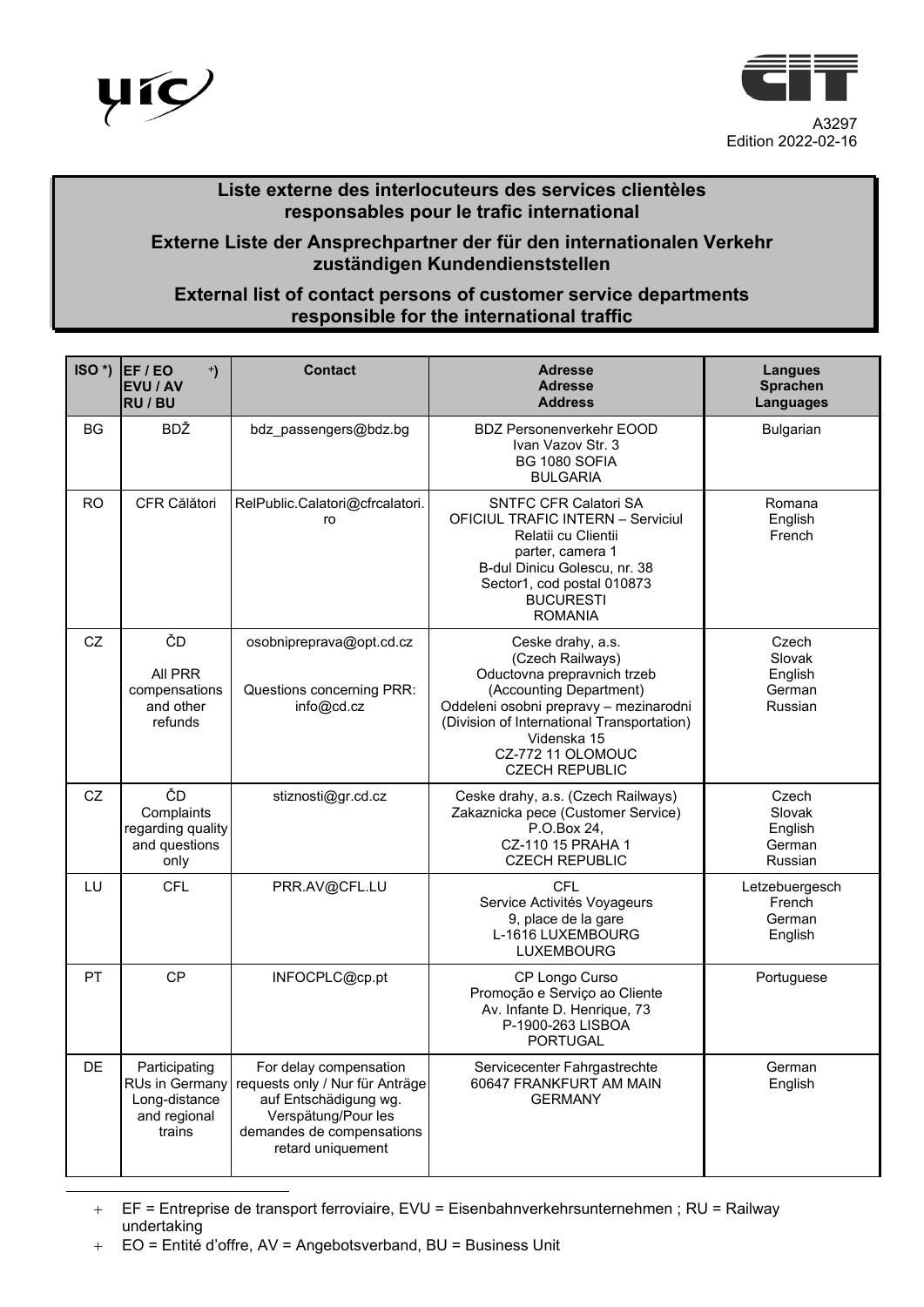



## **Liste externe des interlocuteurs des services clientèles responsables pour le trafic international**

## **Externe Liste der Ansprechpartner der für den internationalen Verkehr zuständigen Kundendienststellen**

## **External list of contact persons of customer service departments responsible for the international traffic**

| $ISO^*$ ) | EF/EO<br>$\ddot{\phantom{1}}$<br>EVU / AV<br><b>RU / BU</b>                | <b>Contact</b>                                                                                                                                              | <b>Adresse</b><br><b>Adresse</b><br><b>Address</b>                                                                                                                                                                                                   | <b>Langues</b><br><b>Sprachen</b><br><b>Languages</b> |
|-----------|----------------------------------------------------------------------------|-------------------------------------------------------------------------------------------------------------------------------------------------------------|------------------------------------------------------------------------------------------------------------------------------------------------------------------------------------------------------------------------------------------------------|-------------------------------------------------------|
| <b>BG</b> | <b>BDŽ</b>                                                                 | bdz_passengers@bdz.bg                                                                                                                                       | <b>BDZ Personenverkehr EOOD</b><br>Ivan Vazov Str. 3<br>BG 1080 SOFIA<br><b>BULGARIA</b>                                                                                                                                                             | Bulgarian                                             |
| <b>RO</b> | CFR Călători                                                               | RelPublic.Calatori@cfrcalatori.<br>ro                                                                                                                       | <b>SNTFC CFR Calatori SA</b><br><b>OFICIUL TRAFIC INTERN - Serviciul</b><br>Relatii cu Clientii<br>parter, camera 1<br>B-dul Dinicu Golescu, nr. 38<br>Sector1, cod postal 010873<br><b>BUCURESTI</b><br><b>ROMANIA</b>                              | Romana<br>English<br>French                           |
| CZ        | ČD<br>All PRR<br>compensations<br>and other<br>refunds                     | osobnipreprava@opt.cd.cz<br>Questions concerning PRR:<br>info@cd.cz                                                                                         | Ceske drahy, a.s.<br>(Czech Railways)<br>Oductovna prepravnich trzeb<br>(Accounting Department)<br>Oddeleni osobni prepravy - mezinarodni<br>(Division of International Transportation)<br>Videnska 15<br>CZ-772 11 OLOMOUC<br><b>CZECH REPUBLIC</b> | Czech<br>Slovak<br>English<br>German<br>Russian       |
| CZ        | ČD<br>Complaints<br>regarding quality<br>and questions<br>only             | stiznosti@gr.cd.cz                                                                                                                                          | Ceske drahy, a.s. (Czech Railways)<br>Zakaznicka pece (Customer Service)<br>P.O.Box 24,<br>CZ-110 15 PRAHA 1<br><b>CZECH REPUBLIC</b>                                                                                                                | Czech<br>Slovak<br>English<br>German<br>Russian       |
| LU        | <b>CFL</b>                                                                 | PRR.AV@CFL.LU                                                                                                                                               | <b>CFL</b><br>Service Activités Voyageurs<br>9, place de la gare<br>L-1616 LUXEMBOURG<br><b>LUXEMBOURG</b>                                                                                                                                           | Letzebuergesch<br>French<br>German<br>English         |
| <b>PT</b> | <b>CP</b>                                                                  | INFOCPLC@cp.pt                                                                                                                                              | CP Longo Curso<br>Promoção e Serviço ao Cliente<br>Av. Infante D. Henrique, 73<br>P-1900-263 LISBOA<br><b>PORTUGAL</b>                                                                                                                               | Portuguese                                            |
| <b>DE</b> | Participating<br>RUs in Germany<br>Long-distance<br>and regional<br>trains | For delay compensation<br>requests only / Nur für Anträge<br>auf Entschädigung wg.<br>Verspätung/Pour les<br>demandes de compensations<br>retard uniquement | Servicecenter Fahrgastrechte<br>60647 FRANKFURT AM MAIN<br><b>GERMANY</b>                                                                                                                                                                            | German<br>English                                     |

<span id="page-0-0"></span>+ EF = Entreprise de transport ferroviaire, EVU = Eisenbahnverkehrsunternehmen ; RU = Railway undertaking

<sup>+</sup> EO = Entité d'offre, AV = Angebotsverband, BU = Business Unit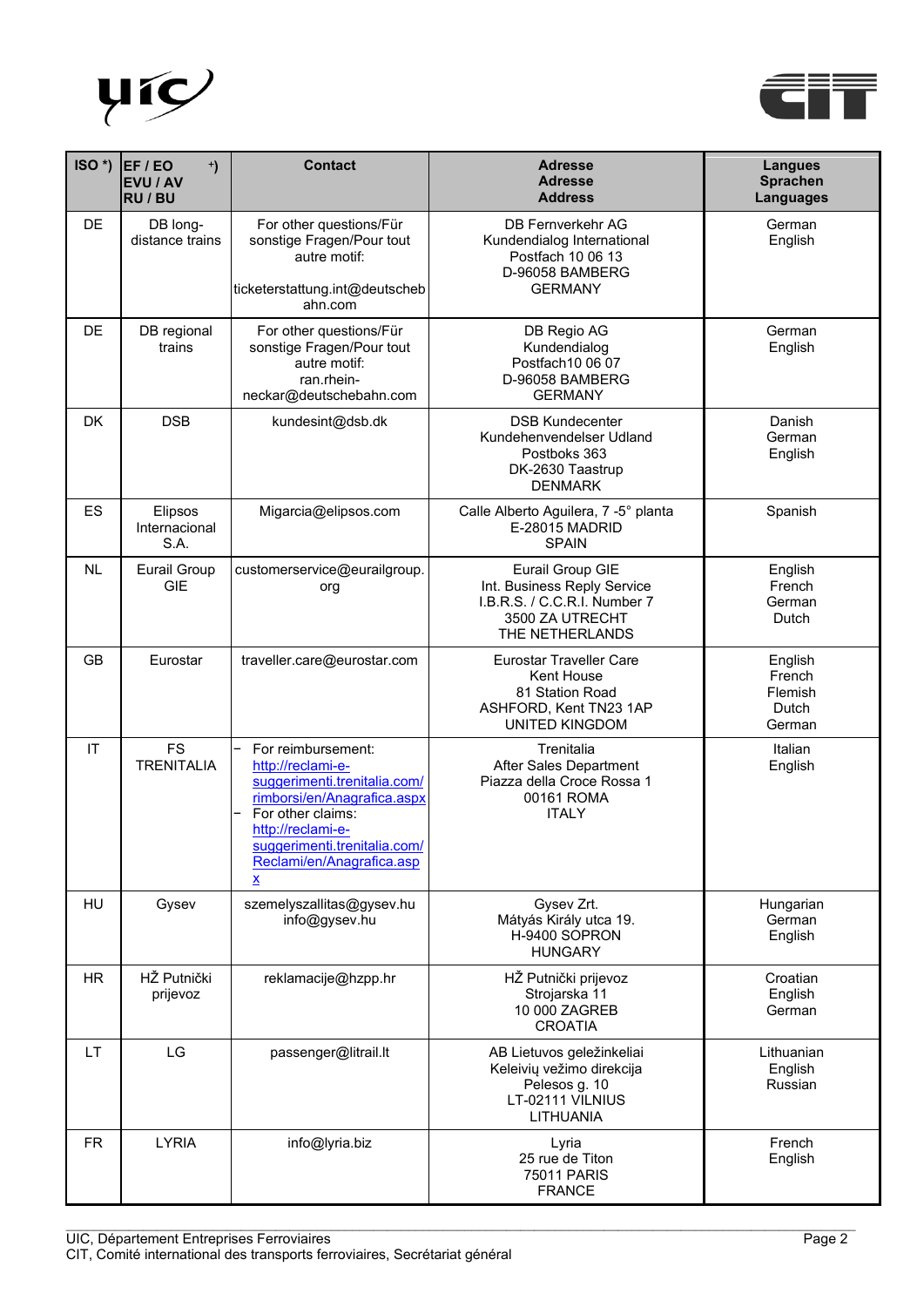



| ISO*)     | EF / EO<br>$^{+}$<br><b>EVU / AV</b><br><b>RU / BU</b> | <b>Contact</b>                                                                                                                                                                                                            | <b>Adresse</b><br><b>Adresse</b><br><b>Address</b>                                                                        | <b>Langues</b><br><b>Sprachen</b><br>Languages  |
|-----------|--------------------------------------------------------|---------------------------------------------------------------------------------------------------------------------------------------------------------------------------------------------------------------------------|---------------------------------------------------------------------------------------------------------------------------|-------------------------------------------------|
| <b>DE</b> | DB long-<br>distance trains                            | For other questions/Für<br>sonstige Fragen/Pour tout<br>autre motif:<br>ticketerstattung.int@deutscheb<br>ahn.com                                                                                                         | <b>DB Fernverkehr AG</b><br>Kundendialog International<br>Postfach 10 06 13<br>D-96058 BAMBERG<br><b>GERMANY</b>          | German<br>English                               |
| <b>DE</b> | DB regional<br>trains                                  | For other questions/Für<br>sonstige Fragen/Pour tout<br>autre motif:<br>ran.rhein-<br>neckar@deutschebahn.com                                                                                                             | DB Regio AG<br>Kundendialog<br>Postfach10 06 07<br>D-96058 BAMBERG<br><b>GERMANY</b>                                      | German<br>English                               |
| <b>DK</b> | <b>DSB</b>                                             | kundesint@dsb.dk                                                                                                                                                                                                          | <b>DSB Kundecenter</b><br>Kundehenvendelser Udland<br>Postboks 363<br>DK-2630 Taastrup<br><b>DENMARK</b>                  | Danish<br>German<br>English                     |
| <b>ES</b> | Elipsos<br>Internacional<br>S.A.                       | Migarcia@elipsos.com                                                                                                                                                                                                      | Calle Alberto Aguilera, 7 -5° planta<br>E-28015 MADRID<br><b>SPAIN</b>                                                    | Spanish                                         |
| <b>NL</b> | <b>Eurail Group</b><br><b>GIE</b>                      | customerservice@eurailgroup.<br>org                                                                                                                                                                                       | Eurail Group GIE<br>Int. Business Reply Service<br>I.B.R.S. / C.C.R.I. Number 7<br>3500 ZA UTRECHT<br>THE NETHERLANDS     | English<br>French<br>German<br>Dutch            |
| <b>GB</b> | Eurostar                                               | traveller.care@eurostar.com                                                                                                                                                                                               | <b>Eurostar Traveller Care</b><br><b>Kent House</b><br>81 Station Road<br>ASHFORD, Kent TN23 1AP<br><b>UNITED KINGDOM</b> | English<br>French<br>Flemish<br>Dutch<br>German |
| IT        | <b>FS</b><br><b>TRENITALIA</b>                         | For reimbursement:<br>http://reclami-e-<br>suggerimenti.trenitalia.com/<br>rimborsi/en/Anagrafica.aspx<br>For other claims:<br>http://reclami-e-<br>suggerimenti.trenitalia.com/<br>Reclami/en/Anagrafica.asp<br><u>x</u> | Trenitalia<br>After Sales Department<br>Piazza della Croce Rossa 1<br>00161 ROMA<br><b>ITALY</b>                          | Italian<br>English                              |
| HU        | Gysev                                                  | szemelyszallitas@gysev.hu<br>info@gysev.hu                                                                                                                                                                                | Gysev Zrt.<br>Mátyás Király utca 19.<br>H-9400 SOPRON<br><b>HUNGARY</b>                                                   | Hungarian<br>German<br>English                  |
| <b>HR</b> | HŽ Putnički<br>prijevoz                                | reklamacije@hzpp.hr                                                                                                                                                                                                       | HŽ Putnički prijevoz<br>Strojarska 11<br>10 000 ZAGREB<br><b>CROATIA</b>                                                  | Croatian<br>English<br>German                   |
| LT.       | LG                                                     | passenger@litrail.lt                                                                                                                                                                                                      | AB Lietuvos geležinkeliai<br>Keleivių vežimo direkcija<br>Pelesos g. 10<br>LT-02111 VILNIUS<br><b>LITHUANIA</b>           | Lithuanian<br>English<br>Russian                |
| <b>FR</b> | <b>LYRIA</b>                                           | info@lyria.biz                                                                                                                                                                                                            | Lyria<br>25 rue de Titon<br><b>75011 PARIS</b><br><b>FRANCE</b>                                                           | French<br>English                               |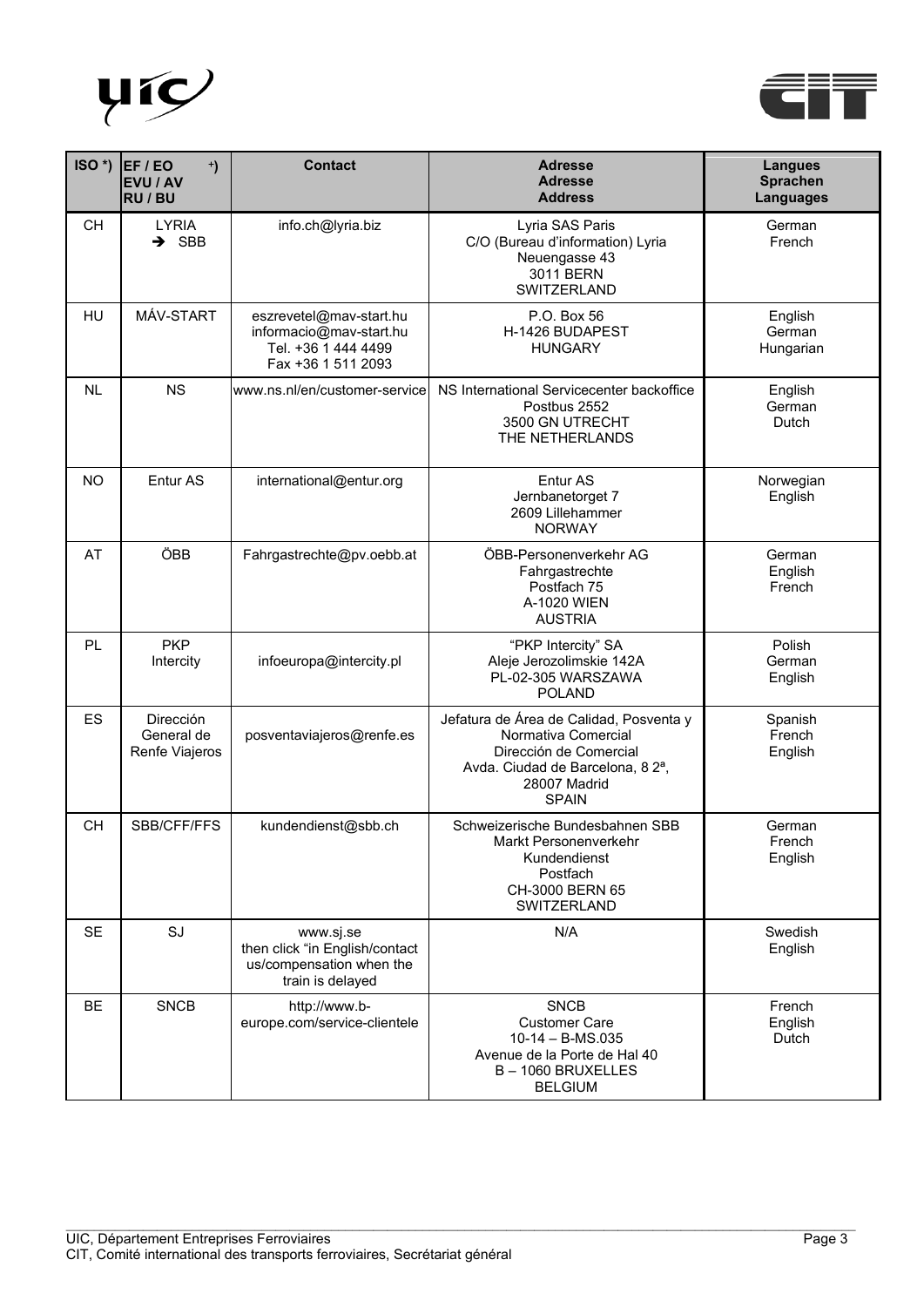



| $ISO^*$ ) | EF / EO<br>$\ddot{\phantom{1}}$<br><b>EVU / AV</b><br>RU / BU | <b>Contact</b>                                                                                  | <b>Adresse</b><br><b>Adresse</b><br><b>Address</b>                                                                                                                       | <b>Langues</b><br><b>Sprachen</b><br>Languages |
|-----------|---------------------------------------------------------------|-------------------------------------------------------------------------------------------------|--------------------------------------------------------------------------------------------------------------------------------------------------------------------------|------------------------------------------------|
| <b>CH</b> | <b>LYRIA</b><br>$\rightarrow$ SBB                             | info.ch@lyria.biz                                                                               | Lyria SAS Paris<br>C/O (Bureau d'information) Lyria<br>Neuengasse 43<br>3011 BERN<br>SWITZERLAND                                                                         | German<br>French                               |
| HU        | MÁV-START                                                     | eszrevetel@mav-start.hu<br>informacio@mav-start.hu<br>Tel. +36 1 444 4499<br>Fax +36 1 511 2093 | P.O. Box 56<br>H-1426 BUDAPEST<br><b>HUNGARY</b>                                                                                                                         | English<br>German<br>Hungarian                 |
| <b>NL</b> | <b>NS</b>                                                     | www.ns.nl/en/customer-service                                                                   | NS International Servicecenter backoffice<br>Postbus 2552<br>3500 GN UTRECHT<br>THE NETHERLANDS                                                                          | English<br>German<br>Dutch                     |
| <b>NO</b> | Entur AS                                                      | international@entur.org                                                                         | Entur AS<br>Jernbanetorget 7<br>2609 Lillehammer<br><b>NORWAY</b>                                                                                                        | Norwegian<br>English                           |
| AT        | ÖBB                                                           | Fahrgastrechte@pv.oebb.at                                                                       | ÖBB-Personenverkehr AG<br>Fahrgastrechte<br>Postfach 75<br>A-1020 WIEN<br><b>AUSTRIA</b>                                                                                 | German<br>English<br>French                    |
| PL        | <b>PKP</b><br>Intercity                                       | infoeuropa@intercity.pl                                                                         | "PKP Intercity" SA<br>Aleje Jerozolimskie 142A<br>PL-02-305 WARSZAWA<br><b>POLAND</b>                                                                                    | Polish<br>German<br>English                    |
| ES        | Dirección<br>General de<br>Renfe Viajeros                     | posventaviajeros@renfe.es                                                                       | Jefatura de Área de Calidad, Posventa y<br>Normativa Comercial<br>Dirección de Comercial<br>Avda. Ciudad de Barcelona, 82 <sup>a</sup> ,<br>28007 Madrid<br><b>SPAIN</b> | Spanish<br>French<br>English                   |
| <b>CH</b> | SBB/CFF/FFS                                                   | kundendienst@sbb.ch                                                                             | Schweizerische Bundesbahnen SBB<br>Markt Personenverkehr<br>Kundendienst<br>Postfach<br>CH-3000 BERN 65<br>SWITZERLAND                                                   | German<br>French<br>English                    |
| <b>SE</b> | SJ                                                            | www.sj.se<br>then click "in English/contact<br>us/compensation when the<br>train is delayed     | N/A                                                                                                                                                                      | Swedish<br>English                             |
| <b>BE</b> | <b>SNCB</b>                                                   | http://www.b-<br>europe.com/service-clientele                                                   | <b>SNCB</b><br><b>Customer Care</b><br>$10-14 - B$ -MS.035<br>Avenue de la Porte de Hal 40<br>B-1060 BRUXELLES<br><b>BELGIUM</b>                                         | French<br>English<br>Dutch                     |

 $\_$  , and the set of the set of the set of the set of the set of the set of the set of the set of the set of the set of the set of the set of the set of the set of the set of the set of the set of the set of the set of th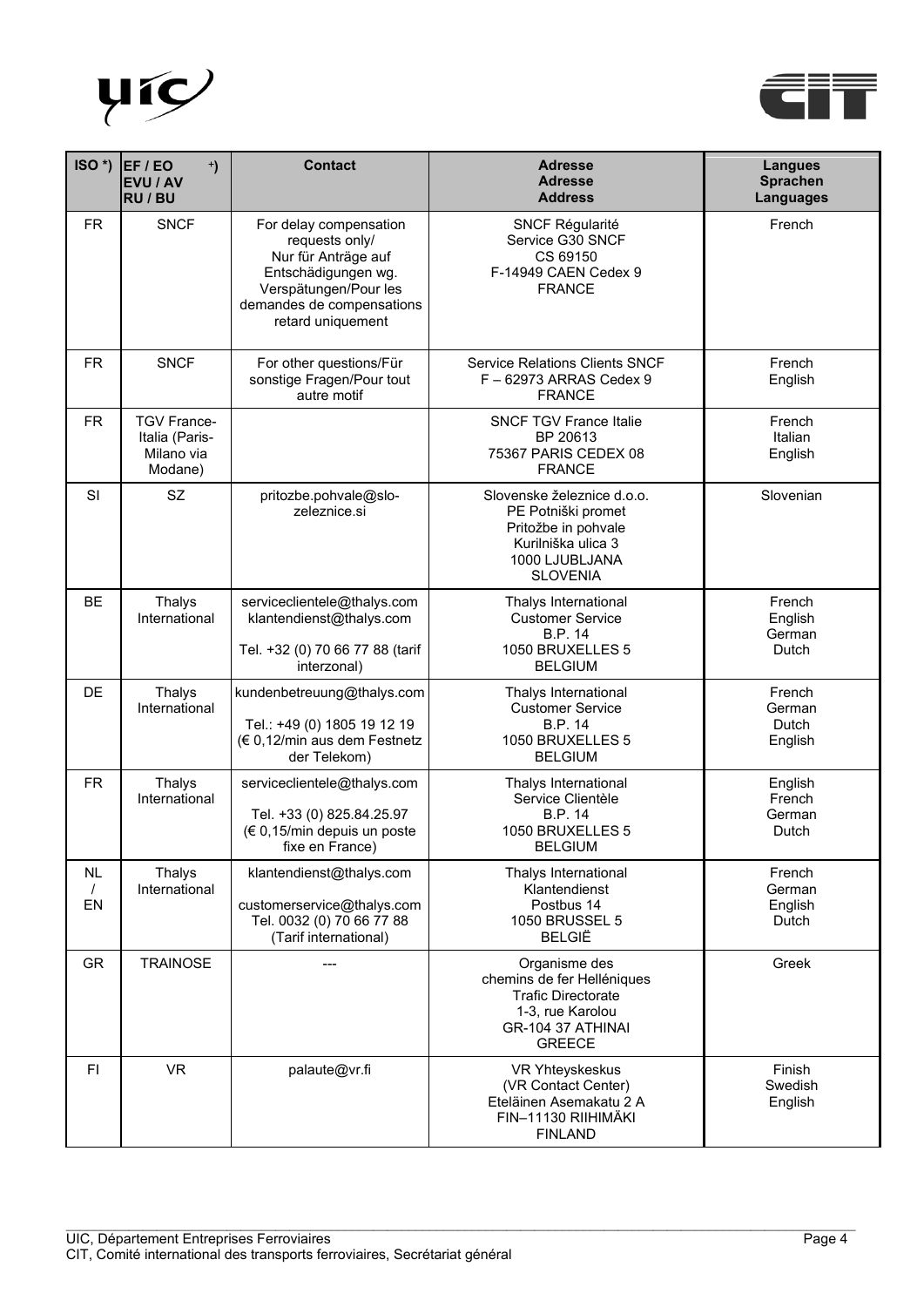



| $ISO^*$ )            | EF / EO<br>$\ddot{\phantom{1}}$<br>EVU / AV<br><b>RU / BU</b> | <b>Contact</b>                                                                                                                                                    | <b>Adresse</b><br><b>Adresse</b><br><b>Address</b>                                                                                 | <b>Langues</b><br><b>Sprachen</b><br>Languages |
|----------------------|---------------------------------------------------------------|-------------------------------------------------------------------------------------------------------------------------------------------------------------------|------------------------------------------------------------------------------------------------------------------------------------|------------------------------------------------|
| <b>FR</b>            | <b>SNCF</b>                                                   | For delay compensation<br>requests only/<br>Nur für Anträge auf<br>Entschädigungen wg.<br>Verspätungen/Pour les<br>demandes de compensations<br>retard uniquement | <b>SNCF Régularité</b><br>Service G30 SNCF<br>CS 69150<br>F-14949 CAEN Cedex 9<br><b>FRANCE</b>                                    | French                                         |
| <b>FR</b>            | <b>SNCF</b>                                                   | For other questions/Für<br>sonstige Fragen/Pour tout<br>autre motif                                                                                               | <b>Service Relations Clients SNCF</b><br>F-62973 ARRAS Cedex 9<br><b>FRANCE</b>                                                    | French<br>English                              |
| <b>FR</b>            | <b>TGV France-</b><br>Italia (Paris-<br>Milano via<br>Modane) |                                                                                                                                                                   | <b>SNCF TGV France Italie</b><br>BP 20613<br>75367 PARIS CEDEX 08<br><b>FRANCE</b>                                                 | French<br>Italian<br>English                   |
| SI                   | <b>SZ</b>                                                     | pritozbe.pohvale@slo-<br>zeleznice.si                                                                                                                             | Slovenske železnice d.o.o.<br>PE Potniški promet<br>Pritožbe in pohvale<br>Kurilniška ulica 3<br>1000 LJUBLJANA<br><b>SLOVENIA</b> | Slovenian                                      |
| <b>BE</b>            | <b>Thalys</b><br>International                                | serviceclientele@thalys.com<br>klantendienst@thalys.com<br>Tel. +32 (0) 70 66 77 88 (tarif<br>interzonal)                                                         | Thalys International<br><b>Customer Service</b><br><b>B.P. 14</b><br>1050 BRUXELLES 5<br><b>BELGIUM</b>                            | French<br>English<br>German<br>Dutch           |
| DE                   | <b>Thalys</b><br>International                                | kundenbetreuung@thalys.com<br>Tel.: +49 (0) 1805 19 12 19<br>(€ 0,12/min aus dem Festnetz<br>der Telekom)                                                         | Thalys International<br><b>Customer Service</b><br><b>B.P. 14</b><br>1050 BRUXELLES 5<br><b>BELGIUM</b>                            | French<br>German<br>Dutch<br>English           |
| <b>FR</b>            | <b>Thalys</b><br>International                                | serviceclientele@thalys.com<br>Tel. +33 (0) 825.84.25.97<br>(€ 0,15/min depuis un poste<br>fixe en France)                                                        | Thalys International<br>Service Clientèle<br><b>B.P. 14</b><br>1050 BRUXELLES 5<br><b>BELGIUM</b>                                  | English<br>French<br>German<br>Dutch           |
| NL<br>$\prime$<br>EN | Thalys<br>International                                       | klantendienst@thalys.com<br>customerservice@thalys.com<br>Tel. 0032 (0) 70 66 77 88<br>(Tarif international)                                                      | Thalys International<br>Klantendienst<br>Postbus 14<br>1050 BRUSSEL 5<br><b>BELGIË</b>                                             | French<br>German<br>English<br>Dutch           |
| <b>GR</b>            | <b>TRAINOSE</b>                                               |                                                                                                                                                                   | Organisme des<br>chemins de fer Helléniques<br><b>Trafic Directorate</b><br>1-3, rue Karolou<br>GR-104 37 ATHINAI<br><b>GREECE</b> | Greek                                          |
| FI                   | <b>VR</b>                                                     | palaute@vr.fi                                                                                                                                                     | VR Yhteyskeskus<br>(VR Contact Center)<br>Eteläinen Asemakatu 2 A<br>FIN-11130 RIIHIMÄKI<br><b>FINLAND</b>                         | Finish<br>Swedish<br>English                   |